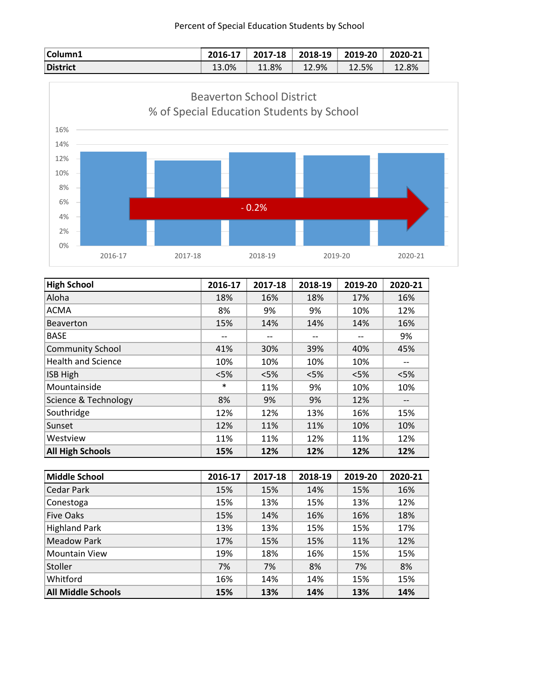| Column1  | 2016-17 | 2017-18 | 2018-19 | 2019-20 | 2020-21 |
|----------|---------|---------|---------|---------|---------|
| District | 13.0%   | 11.8%   | 12.9%   | 12.5%   | 12.8%   |



| <b>High School</b>        | 2016-17 | 2017-18 | 2018-19 | 2019-20 | 2020-21 |
|---------------------------|---------|---------|---------|---------|---------|
| Aloha                     | 18%     | 16%     | 18%     | 17%     | 16%     |
| <b>ACMA</b>               | 8%      | 9%      | 9%      | 10%     | 12%     |
| <b>Beaverton</b>          | 15%     | 14%     | 14%     | 14%     | 16%     |
| <b>BASE</b>               | --      |         | --      | --      | 9%      |
| <b>Community School</b>   | 41%     | 30%     | 39%     | 40%     | 45%     |
| <b>Health and Science</b> | 10%     | 10%     | 10%     | 10%     |         |
| ISB High                  | $<$ 5%  | $<$ 5%  | $<$ 5%  | < 5%    | < 5%    |
| Mountainside              | $\ast$  | 11%     | 9%      | 10%     | 10%     |
| Science & Technology      | 8%      | 9%      | 9%      | 12%     | --      |
| Southridge                | 12%     | 12%     | 13%     | 16%     | 15%     |
| Sunset                    | 12%     | 11%     | 11%     | 10%     | 10%     |
| Westview                  | 11%     | 11%     | 12%     | 11%     | 12%     |
| <b>All High Schools</b>   | 15%     | 12%     | 12%     | 12%     | 12%     |

| <b>Middle School</b>      | 2016-17 | 2017-18 | 2018-19 | 2019-20 | 2020-21 |
|---------------------------|---------|---------|---------|---------|---------|
| Cedar Park                | 15%     | 15%     | 14%     | 15%     | 16%     |
| Conestoga                 | 15%     | 13%     | 15%     | 13%     | 12%     |
| <b>Five Oaks</b>          | 15%     | 14%     | 16%     | 16%     | 18%     |
| <b>Highland Park</b>      | 13%     | 13%     | 15%     | 15%     | 17%     |
| <b>Meadow Park</b>        | 17%     | 15%     | 15%     | 11%     | 12%     |
| <b>Mountain View</b>      | 19%     | 18%     | 16%     | 15%     | 15%     |
| Stoller                   | 7%      | 7%      | 8%      | 7%      | 8%      |
| Whitford                  | 16%     | 14%     | 14%     | 15%     | 15%     |
| <b>All Middle Schools</b> | 15%     | 13%     | 14%     | 13%     | 14%     |